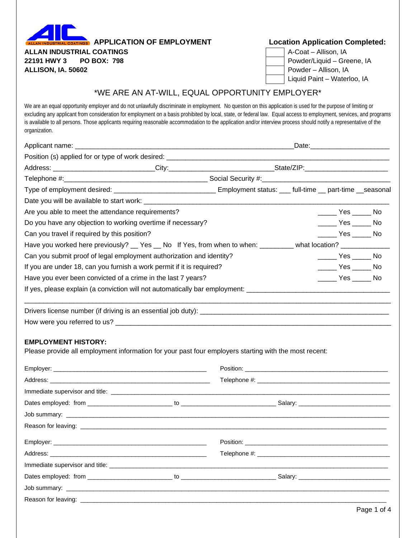| $\blacksquare$            | ALLAN INDUSTRIAL COATINGS APPLICATION OF EMPLOYMENT |  | <b>Location Application C</b> |
|---------------------------|-----------------------------------------------------|--|-------------------------------|
| ALLAN INDUSTRIAL COATINGS |                                                     |  | A-Coat - Allison, IA          |
|                           |                                                     |  |                               |

Reason for leaving:

**Location Application Completed:** 

| <b>ALLAN INDUSTRIAL COATINGS</b> |  | A-Coat - Allison, IA        |
|----------------------------------|--|-----------------------------|
| 22191 HWY 3 PO BOX: 798          |  | Powder/Liquid – Greene, IA  |
| <b>ALLISON. IA. 50602</b>        |  | Powder – Allison. IA        |
|                                  |  | Liquid Paint - Waterloo, IA |

## \*WE ARE AN AT-WILL, EQUAL OPPORTUNITY EMPLOYER\*

We are an equal opportunity employer and do not unlawfully discriminate in employment. No question on this application is used for the purpose of limiting or excluding any applicant from consideration for employment on a basis prohibited by local, state, or federal law. Equal access to employment, services, and programs is available to all persons. Those applicants requiring reasonable accommodation to the application and/or interview process should notify a representative of the organization.

| Applicant name: _____________________                                                                                                                                                                                          |           | _Date:___________________________  |  |
|--------------------------------------------------------------------------------------------------------------------------------------------------------------------------------------------------------------------------------|-----------|------------------------------------|--|
|                                                                                                                                                                                                                                |           |                                    |  |
|                                                                                                                                                                                                                                |           |                                    |  |
|                                                                                                                                                                                                                                |           |                                    |  |
|                                                                                                                                                                                                                                |           |                                    |  |
|                                                                                                                                                                                                                                |           |                                    |  |
| Are you able to meet the attendance requirements?                                                                                                                                                                              |           | ______ Yes ______ No               |  |
| Do you have any objection to working overtime if necessary?                                                                                                                                                                    |           | $\frac{1}{2}$ Yes $\frac{1}{2}$ No |  |
| Can you travel if required by this position?                                                                                                                                                                                   |           | ______ Yes ______ No               |  |
| Have you worked here previously?  Ses  No If Yes, from when to when:  Ses  What location?  Unive you worked here previously?  Unive you worked here previously?  Unive you worked here previously?  Unive you worked here prev |           |                                    |  |
| Can you submit proof of legal employment authorization and identity?                                                                                                                                                           |           | $\frac{1}{2}$ Yes $\frac{1}{2}$ No |  |
| If you are under 18, can you furnish a work permit if it is required?                                                                                                                                                          |           | ______ Yes ______ No               |  |
| Have you ever been convicted of a crime in the last 7 years?                                                                                                                                                                   |           | $\frac{1}{2}$ Yes $\frac{1}{2}$ No |  |
| If yes, please explain (a conviction will not automatically bar employment: __________________________________                                                                                                                 |           |                                    |  |
|                                                                                                                                                                                                                                |           |                                    |  |
| <b>EMPLOYMENT HISTORY:</b><br>Please provide all employment information for your past four employers starting with the most recent:                                                                                            |           |                                    |  |
|                                                                                                                                                                                                                                | Position: |                                    |  |
|                                                                                                                                                                                                                                |           |                                    |  |
|                                                                                                                                                                                                                                |           |                                    |  |
|                                                                                                                                                                                                                                |           |                                    |  |
|                                                                                                                                                                                                                                |           |                                    |  |
|                                                                                                                                                                                                                                |           |                                    |  |
|                                                                                                                                                                                                                                |           |                                    |  |
|                                                                                                                                                                                                                                |           |                                    |  |
|                                                                                                                                                                                                                                |           |                                    |  |
|                                                                                                                                                                                                                                |           |                                    |  |
| Job summary: ____________                                                                                                                                                                                                      |           |                                    |  |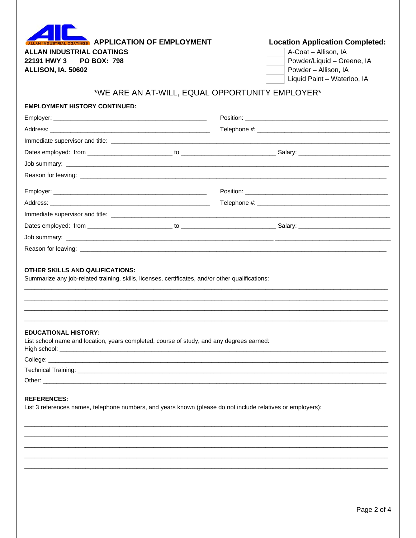|  | <b>APPLICATION OF EMPLOYMENT</b> |
|--|----------------------------------|
|  |                                  |
|  |                                  |
|  |                                  |

**Location Application Completed:** 

| <b>ALLAN INDUSTRIAL COATINGS</b> |  |  |  |
|----------------------------------|--|--|--|
| 22191 HWY 3 PO BOX: 798          |  |  |  |
| <b>ALLISON, IA. 50602</b>        |  |  |  |

| A-Coat - Allison, IA        |
|-----------------------------|
| Powder/Liquid - Greene, IA  |
| Powder - Allison, IA        |
| Liquid Paint - Waterloo, IA |

## \*WE ARE AN AT-WILL, EQUAL OPPORTUNITY EMPLOYER\*

| <b>EMPLOYMENT HISTORY CONTINUED:</b>                                                                                    |                                                                                                             |
|-------------------------------------------------------------------------------------------------------------------------|-------------------------------------------------------------------------------------------------------------|
|                                                                                                                         |                                                                                                             |
|                                                                                                                         |                                                                                                             |
|                                                                                                                         |                                                                                                             |
|                                                                                                                         |                                                                                                             |
|                                                                                                                         |                                                                                                             |
|                                                                                                                         |                                                                                                             |
|                                                                                                                         |                                                                                                             |
|                                                                                                                         |                                                                                                             |
|                                                                                                                         |                                                                                                             |
|                                                                                                                         |                                                                                                             |
|                                                                                                                         |                                                                                                             |
|                                                                                                                         |                                                                                                             |
| Summarize any job-related training, skills, licenses, certificates, and/or other qualifications:                        |                                                                                                             |
| <b>EDUCATIONAL HISTORY:</b><br>List school name and location, years completed, course of study, and any degrees earned: |                                                                                                             |
|                                                                                                                         |                                                                                                             |
|                                                                                                                         |                                                                                                             |
| <b>REFERENCES:</b>                                                                                                      | List 3 references names, telephone numbers, and years known (please do not include relatives or employers): |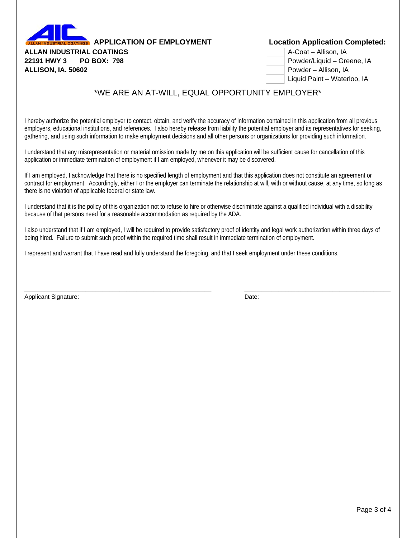**APPLICATION OF EMPLOYMENT Location Application Completed: ALLAN INDUSTRIAL COATINGS** 

## 22191 HWY 3 PO BOX: 798 **ALLISON, IA. 50602**

| A-Coat - Allison, IA        |
|-----------------------------|
| Powder/Liquid - Greene, IA  |
| Powder - Allison, IA        |
| Liquid Paint - Waterloo, IA |

# \*WE ARE AN AT-WILL, EQUAL OPPORTUNITY EMPLOYER\*

I hereby authorize the potential employer to contact, obtain, and verify the accuracy of information contained in this application from all previous employers, educational institutions, and references. I also hereby release from liability the potential employer and its representatives for seeking, gathering, and using such information to make employment decisions and all other persons or organizations for providing such information.

I understand that any misrepresentation or material omission made by me on this application will be sufficient cause for cancellation of this application or immediate termination of employment if I am employed, whenever it may be discovered.

If I am employed, I acknowledge that there is no specified length of employment and that this application does not constitute an agreement or contract for employment. Accordingly, either I or the employer can terminate the relationship at will, with or without cause, at any time, so long as there is no violation of applicable federal or state law.

I understand that it is the policy of this organization not to refuse to hire or otherwise discriminate against a qualified individual with a disability because of that persons need for a reasonable accommodation as required by the ADA.

I also understand that if I am employed, I will be required to provide satisfactory proof of identity and legal work authorization within three days of being hired. Failure to submit such proof within the required time shall result in immediate termination of employment.

 $\Box$  . The contribution of the contribution of the contribution of the contribution of the contribution of the contribution of the contribution of the contribution of the contribution of the contribution of the contributi

I represent and warrant that I have read and fully understand the foregoing, and that I seek employment under these conditions.

Applicant Signature: Date: Date: Date: Date: Date: Date: Date: Date: Date: Date: Date: Date: Date: Date: Date: Date: Date: Date: Date: Date: Date: Date: Date: Date: Date: Date: Date: Date: Date: Date: Date: Date: Date: Dat